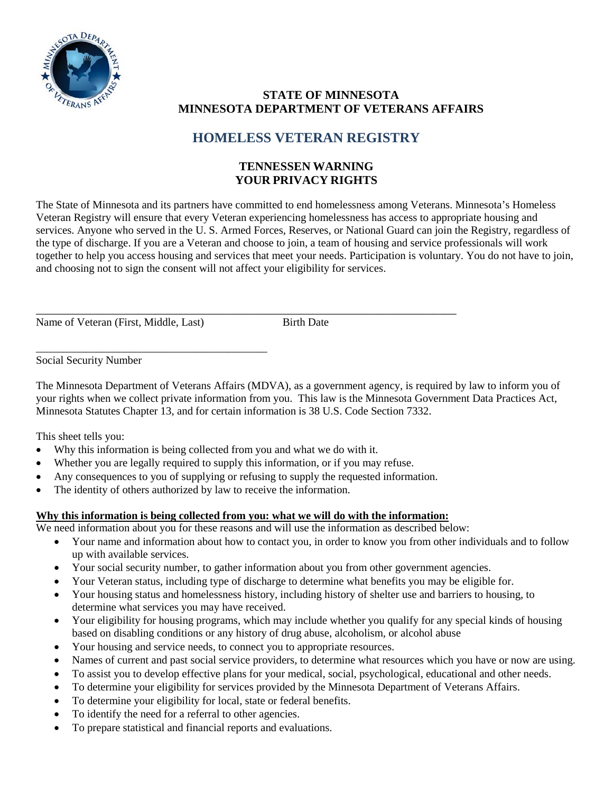

## **STATE OF MINNESOTA MINNESOTA DEPARTMENT OF VETERANS AFFAIRS**

## **HOMELESS VETERAN REGISTRY**

## **TENNESSEN WARNING YOUR PRIVACY RIGHTS**

The State of Minnesota and its partners have committed to end homelessness among Veterans. Minnesota's Homeless Veteran Registry will ensure that every Veteran experiencing homelessness has access to appropriate housing and services. Anyone who served in the U. S. Armed Forces, Reserves, or National Guard can join the Registry, regardless of the type of discharge. If you are a Veteran and choose to join, a team of housing and service professionals will work together to help you access housing and services that meet your needs. Participation is voluntary. You do not have to join, and choosing not to sign the consent will not affect your eligibility for services.

\_\_\_\_\_\_\_\_\_\_\_\_\_\_\_\_\_\_\_\_\_\_\_\_\_\_\_\_\_\_\_\_\_\_\_\_\_\_\_\_\_\_\_\_\_\_\_\_\_\_\_\_\_\_\_\_\_\_\_\_\_\_\_\_\_\_\_\_\_\_ Name of Veteran (First, Middle, Last) Birth Date

\_\_\_\_\_\_\_\_\_\_\_\_\_\_\_\_\_\_\_\_\_\_\_\_\_\_\_\_\_\_\_\_\_\_\_\_\_\_\_\_\_\_

Social Security Number

The Minnesota Department of Veterans Affairs (MDVA), as a government agency, is required by law to inform you of your rights when we collect private information from you. This law is the Minnesota Government Data Practices Act, Minnesota Statutes Chapter 13, and for certain information is 38 U.S. Code Section 7332.

This sheet tells you:

- Why this information is being collected from you and what we do with it.
- Whether you are legally required to supply this information, or if you may refuse.
- Any consequences to you of supplying or refusing to supply the requested information.
- The identity of others authorized by law to receive the information.

### **Why this information is being collected from you: what we will do with the information:**

We need information about you for these reasons and will use the information as described below:

- Your name and information about how to contact you, in order to know you from other individuals and to follow up with available services.
- Your social security number, to gather information about you from other government agencies.
- Your Veteran status, including type of discharge to determine what benefits you may be eligible for.
- Your housing status and homelessness history, including history of shelter use and barriers to housing, to determine what services you may have received.
- Your eligibility for housing programs, which may include whether you qualify for any special kinds of housing based on disabling conditions or any history of drug abuse, alcoholism, or alcohol abuse
- Your housing and service needs, to connect you to appropriate resources.
- Names of current and past social service providers, to determine what resources which you have or now are using.
- To assist you to develop effective plans for your medical, social, psychological, educational and other needs.
- To determine your eligibility for services provided by the Minnesota Department of Veterans Affairs.
- To determine your eligibility for local, state or federal benefits.
- To identify the need for a referral to other agencies.
- To prepare statistical and financial reports and evaluations.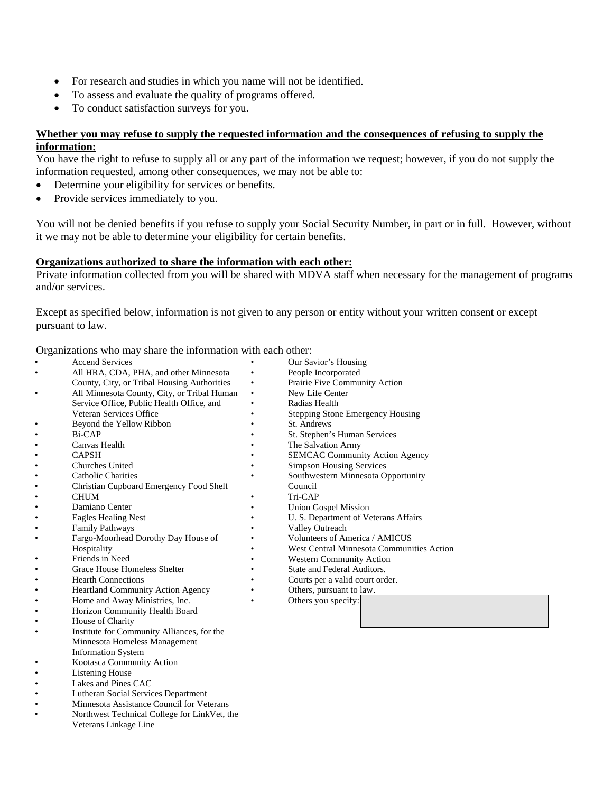- For research and studies in which you name will not be identified.
- To assess and evaluate the quality of programs offered.
- To conduct satisfaction surveys for you.

### **Whether you may refuse to supply the requested information and the consequences of refusing to supply the information:**

You have the right to refuse to supply all or any part of the information we request; however, if you do not supply the information requested, among other consequences, we may not be able to:

- Determine your eligibility for services or benefits.
- Provide services immediately to you.

You will not be denied benefits if you refuse to supply your Social Security Number, in part or in full. However, without it we may not be able to determine your eligibility for certain benefits.

### **Organizations authorized to share the information with each other:**

Private information collected from you will be shared with MDVA staff when necessary for the management of programs and/or services.

Except as specified below, information is not given to any person or entity without your written consent or except pursuant to law.

Organizations who may share the information with each other:

- **Accend Services** • All HRA, CDA, PHA, and other Minnesota County, City, or Tribal Housing Authorities • All Minnesota County, City, or Tribal Human Service Office, Public Health Office, and Veteran Services Office • Beyond the Yellow Ribbon • Bi-CAP • Canvas Health • CAPSH • Churches United • Catholic Charities • Christian Cupboard Emergency Food Shelf • CHUM Damiano Center • Eagles Healing Nest • Family Pathways • Fargo-Moorhead Dorothy Day House of Hospitality • Friends in Need • Grace House Homeless Shelter • Hearth Connections • Heartland Community Action Agency • Home and Away Ministries, Inc. • Horizon Community Health Board House of Charity • Institute for Community Alliances, for the Minnesota Homeless Management Information System • Kootasca Community Action Listening House Lakes and Pines CAC • Lutheran Social Services Department • Minnesota Assistance Council for Veterans • Our Savior's Housing People Incorporated Prairie Five Community Action New Life Center • Radias Health Stepping Stone Emergency Housing St. Andrews St. Stephen's Human Services The Salvation Army **SEMCAC Community Action Agency** Simpson Housing Services • Southwestern Minnesota Opportunity Council • Tri-CAP • Union Gospel Mission U. S. Department of Veterans Affairs Valley Outreach • Volunteers of America / AMICUS • West Central Minnesota Communities Action • Western Community Action State and Federal Auditors. Courts per a valid court order. Others, pursuant to law. Others you specify:
	- Northwest Technical College for LinkVet, the Veterans Linkage Line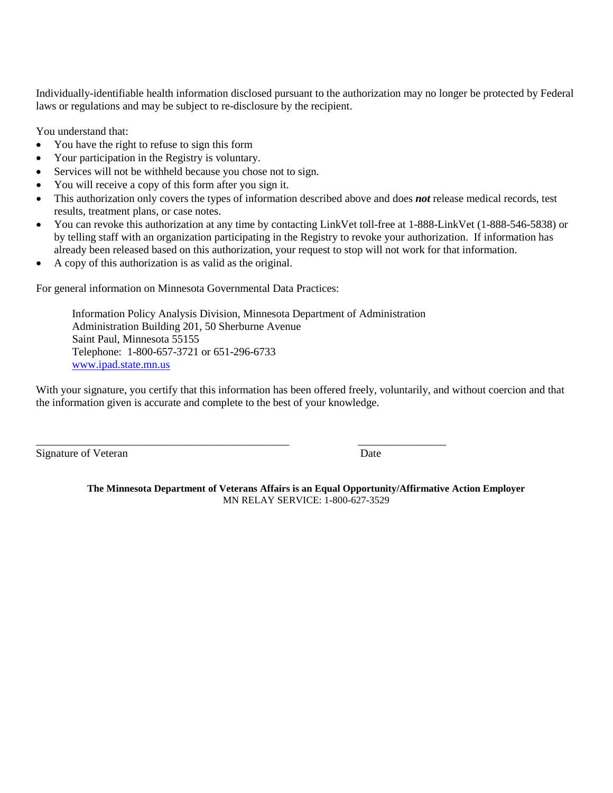Individually-identifiable health information disclosed pursuant to the authorization may no longer be protected by Federal laws or regulations and may be subject to re-disclosure by the recipient.

You understand that:

- You have the right to refuse to sign this form
- Your participation in the Registry is voluntary.
- Services will not be withheld because you chose not to sign.
- You will receive a copy of this form after you sign it.
- This authorization only covers the types of information described above and does *not* release medical records, test results, treatment plans, or case notes.
- You can revoke this authorization at any time by contacting LinkVet toll-free at 1-888-LinkVet (1-888-546-5838) or by telling staff with an organization participating in the Registry to revoke your authorization. If information has already been released based on this authorization, your request to stop will not work for that information.
- A copy of this authorization is as valid as the original.

For general information on Minnesota Governmental Data Practices:

Information Policy Analysis Division, Minnesota Department of Administration Administration Building 201, 50 Sherburne Avenue Saint Paul, Minnesota 55155 Telephone: 1-800-657-3721 or 651-296-6733 [www.ipad.state.mn.us](http://www.ipad.state.mn.us/) 

\_\_\_\_\_\_\_\_\_\_\_\_\_\_\_\_\_\_\_\_\_\_\_\_\_\_\_\_\_\_\_\_\_\_\_\_\_\_\_\_\_\_\_\_\_\_ \_\_\_\_\_\_\_\_\_\_\_\_\_\_\_\_

With your signature, you certify that this information has been offered freely, voluntarily, and without coercion and that the information given is accurate and complete to the best of your knowledge.

Signature of Veteran Date

**The Minnesota Department of Veterans Affairs is an Equal Opportunity/Affirmative Action Employer** MN RELAY SERVICE: 1-800-627-3529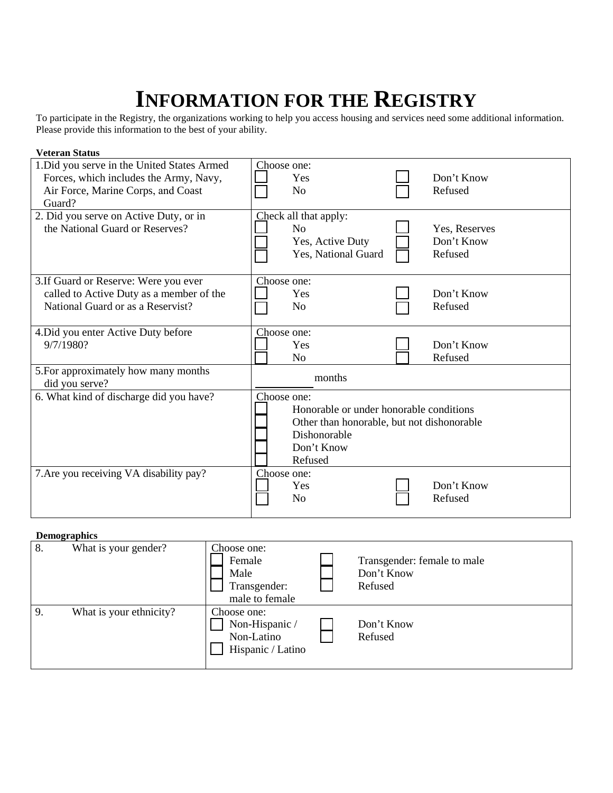# **INFORMATION FOR THE REGISTRY**

To participate in the Registry, the organizations working to help you access housing and services need some additional information. Please provide this information to the best of your ability.

| <b>Veteran Status</b>                                                                                                                 |                                                                                                                                               |                                        |
|---------------------------------------------------------------------------------------------------------------------------------------|-----------------------------------------------------------------------------------------------------------------------------------------------|----------------------------------------|
| 1. Did you serve in the United States Armed<br>Forces, which includes the Army, Navy,<br>Air Force, Marine Corps, and Coast<br>Guard? | Choose one:<br>Yes<br>N <sub>0</sub>                                                                                                          | Don't Know<br>Refused                  |
| 2. Did you serve on Active Duty, or in<br>the National Guard or Reserves?                                                             | Check all that apply:<br>N <sub>0</sub><br>Yes, Active Duty<br>Yes, National Guard                                                            | Yes, Reserves<br>Don't Know<br>Refused |
| 3. If Guard or Reserve: Were you ever<br>called to Active Duty as a member of the<br>National Guard or as a Reservist?                | Choose one:<br>Yes<br>N <sub>0</sub>                                                                                                          | Don't Know<br>Refused                  |
| 4. Did you enter Active Duty before<br>9/7/1980?                                                                                      | Choose one:<br>Yes<br>No                                                                                                                      | Don't Know<br>Refused                  |
| 5. For approximately how many months<br>did you serve?                                                                                | months                                                                                                                                        |                                        |
| 6. What kind of discharge did you have?                                                                                               | Choose one:<br>Honorable or under honorable conditions<br>Other than honorable, but not dishonorable<br>Dishonorable<br>Don't Know<br>Refused |                                        |
| 7. Are you receiving VA disability pay?                                                                                               | Choose one:<br>Yes<br>N <sub>o</sub>                                                                                                          | Don't Know<br>Refused                  |

#### **Demographics**

|    | - <del>- -</del> - - - - - - |                                                                  |                                                      |
|----|------------------------------|------------------------------------------------------------------|------------------------------------------------------|
| 8. | What is your gender?         | Choose one:<br>Female<br>Male<br>Transgender:<br>male to female  | Transgender: female to male<br>Don't Know<br>Refused |
| 9. | What is your ethnicity?      | Choose one:<br>Non-Hispanic /<br>Non-Latino<br>Hispanic / Latino | Don't Know<br>Refused                                |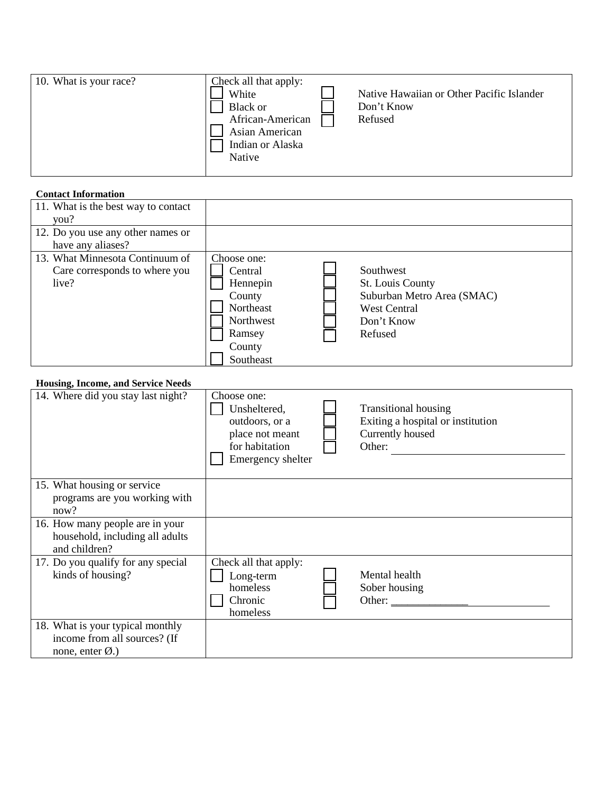| 10. What is your race? | Check all that apply:<br>White<br>Black or<br>African-American<br>Asian American<br>Indian or Alaska<br>Native | Native Hawaiian or Other Pacific Islander<br>Don't Know<br>Refused |
|------------------------|----------------------------------------------------------------------------------------------------------------|--------------------------------------------------------------------|
|                        |                                                                                                                |                                                                    |

### **Contact Information**

| 12. Do you use any other names or<br>have any aliases?                    |                                                                                                         |                                                                                                             |
|---------------------------------------------------------------------------|---------------------------------------------------------------------------------------------------------|-------------------------------------------------------------------------------------------------------------|
| 13. What Minnesota Continuum of<br>Care corresponds to where you<br>live? | Choose one:<br>Central<br>Hennepin<br>County<br>Northeast<br>Northwest<br>Ramsey<br>County<br>Southeast | Southwest<br>St. Louis County<br>Suburban Metro Area (SMAC)<br><b>West Central</b><br>Don't Know<br>Refused |

### **Housing, Income, and Service Needs**

| 14. Where did you stay last night?                                                             | Choose one:<br>Unsheltered,<br>outdoors, or a<br>place not meant<br>for habitation<br>Emergency shelter | <b>Transitional housing</b><br>Exiting a hospital or institution<br>Currently housed<br>Other: |
|------------------------------------------------------------------------------------------------|---------------------------------------------------------------------------------------------------------|------------------------------------------------------------------------------------------------|
| 15. What housing or service<br>programs are you working with<br>now?                           |                                                                                                         |                                                                                                |
| 16. How many people are in your<br>household, including all adults<br>and children?            |                                                                                                         |                                                                                                |
| 17. Do you qualify for any special<br>kinds of housing?                                        | Check all that apply:<br>Long-term<br>homeless<br>Chronic<br>homeless                                   | Mental health<br>Sober housing<br>Other:                                                       |
| 18. What is your typical monthly<br>income from all sources? (If<br>none, enter $\emptyset$ .) |                                                                                                         |                                                                                                |